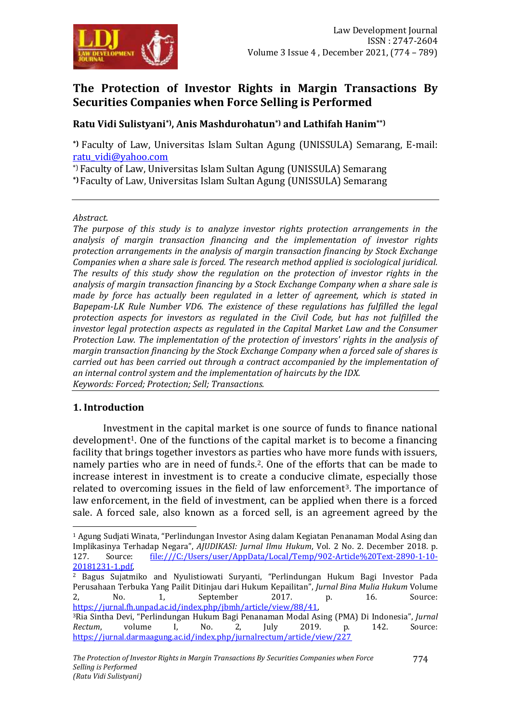

# **The Protection of Investor Rights in Margin Transactions By Securities Companies when Force Selling is Performed**

# **Ratu Vidi Sulistyani\*), Anis Mashdurohatun\*) and Lathifah Hanim\*\*)**

**\*)** Faculty of Law, Universitas Islam Sultan Agung (UNISSULA) Semarang, E-mail: [ratu\\_vidi@yahoo.com](mailto:ratu_vidi@yahoo.com)

\*) Faculty of Law, Universitas Islam Sultan Agung (UNISSULA) Semarang **\*)** Faculty of Law, Universitas Islam Sultan Agung (UNISSULA) Semarang

*Abstract.*

*The purpose of this study is to analyze investor rights protection arrangements in the analysis of margin transaction financing and the implementation of investor rights protection arrangements in the analysis of margin transaction financing by Stock Exchange Companies when a share sale is forced. The research method applied is sociological juridical. The results of this study show the regulation on the protection of investor rights in the analysis of margin transaction financing by a Stock Exchange Company when a share sale is made by force has actually been regulated in a letter of agreement, which is stated in Bapepam-LK Rule Number VD6. The existence of these regulations has fulfilled the legal protection aspects for investors as regulated in the Civil Code, but has not fulfilled the investor legal protection aspects as regulated in the Capital Market Law and the Consumer Protection Law. The implementation of the protection of investors' rights in the analysis of margin transaction financing by the Stock Exchange Company when a forced sale of shares is carried out has been carried out through a contract accompanied by the implementation of an internal control system and the implementation of haircuts by the IDX. Keywords: Forced; Protection; Sell; Transactions.*

#### **1. Introduction**

 $\overline{a}$ 

Investment in the capital market is one source of funds to finance national  $development<sup>1</sup>$ . One of the functions of the capital market is to become a financing facility that brings together investors as parties who have more funds with issuers, namely parties who are in need of funds.<sup>2</sup>. One of the efforts that can be made to increase interest in investment is to create a conducive climate, especially those related to overcoming issues in the field of law enforcement<sup>3</sup>. The importance of law enforcement, in the field of investment, can be applied when there is a forced sale. A forced sale, also known as a forced sell, is an agreement agreed by the

<sup>1</sup> Agung Sudjati Winata, "Perlindungan Investor Asing dalam Kegiatan Penanaman Modal Asing dan Implikasinya Terhadap Negara", *AJUDIKASI: Jurnal Ilmu Hukum*, Vol. 2 No. 2. December 2018. p. 127. Source: [file:///C:/Users/user/AppData/Local/Temp/902-Article%20Text-2890-1-10-](file:///C:/Users/user/AppData/Local/Temp/902-Article%20Text-2890-1-10-20181231-1.pdf) [20181231-1.pdf,](file:///C:/Users/user/AppData/Local/Temp/902-Article%20Text-2890-1-10-20181231-1.pdf) 

<sup>2</sup> Bagus Sujatmiko and Nyulistiowati Suryanti, "Perlindungan Hukum Bagi Investor Pada Perusahaan Terbuka Yang Pailit Ditinjau dari Hukum Kepailitan", *Jurnal Bina Mulia Hukum* Volume 2, No. 1, September 2017. p. 16. Source: [https://jurnal.fh.unpad.ac.id/index.php/jbmh/article/view/88/41,](https://jurnal.fh.unpad.ac.id/index.php/jbmh/article/view/88/41) <sup>3</sup>Ria Sintha Devi, "Perlindungan Hukum Bagi Penanaman Modal Asing (PMA) Di Indonesia", *Jurnal Rectum*, volume I, No. 2, July 2019. p. 142. Source: <https://jurnal.darmaagung.ac.id/index.php/jurnalrectum/article/view/227>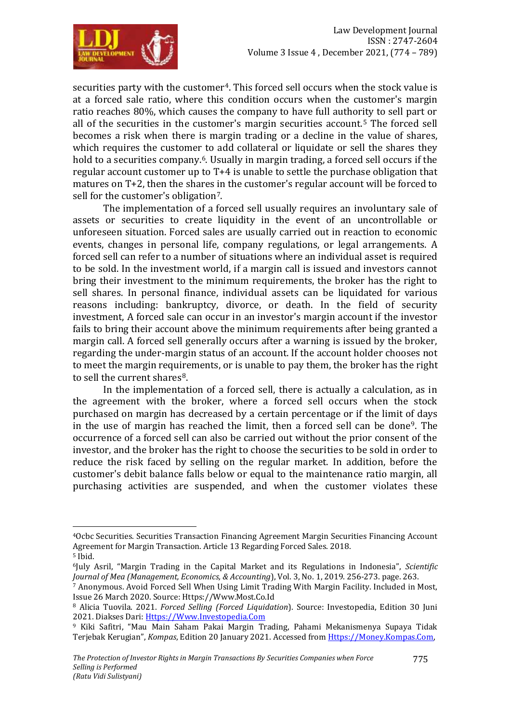

securities party with the customer<sup>4</sup>. This forced sell occurs when the stock value is at a forced sale ratio, where this condition occurs when the customer's margin ratio reaches 80%, which causes the company to have full authority to sell part or all of the securities in the customer's margin securities account.<sup>5</sup> The forced sell becomes a risk when there is margin trading or a decline in the value of shares, which requires the customer to add collateral or liquidate or sell the shares they hold to a securities company.<sup>6</sup>. Usually in margin trading, a forced sell occurs if the regular account customer up to T+4 is unable to settle the purchase obligation that matures on T+2, then the shares in the customer's regular account will be forced to sell for the customer's obligation7.

The implementation of a forced sell usually requires an involuntary sale of assets or securities to create liquidity in the event of an uncontrollable or unforeseen situation. Forced sales are usually carried out in reaction to economic events, changes in personal life, company regulations, or legal arrangements. A forced sell can refer to a number of situations where an individual asset is required to be sold. In the investment world, if a margin call is issued and investors cannot bring their investment to the minimum requirements, the broker has the right to sell shares. In personal finance, individual assets can be liquidated for various reasons including: bankruptcy, divorce, or death. In the field of security investment, A forced sale can occur in an investor's margin account if the investor fails to bring their account above the minimum requirements after being granted a margin call. A forced sell generally occurs after a warning is issued by the broker, regarding the under-margin status of an account. If the account holder chooses not to meet the margin requirements, or is unable to pay them, the broker has the right to sell the current shares<sup>8</sup>.

In the implementation of a forced sell, there is actually a calculation, as in the agreement with the broker, where a forced sell occurs when the stock purchased on margin has decreased by a certain percentage or if the limit of days in the use of margin has reached the limit, then a forced sell can be done9. The occurrence of a forced sell can also be carried out without the prior consent of the investor, and the broker has the right to choose the securities to be sold in order to reduce the risk faced by selling on the regular market. In addition, before the customer's debit balance falls below or equal to the maintenance ratio margin, all purchasing activities are suspended, and when the customer violates these

<sup>4</sup>Ocbc Securities. Securities Transaction Financing Agreement Margin Securities Financing Account Agreement for Margin Transaction. Article 13 Regarding Forced Sales. 2018. <sup>5</sup> Ibid.

<sup>6</sup>July Asril, "Margin Trading in the Capital Market and its Regulations in Indonesia", *Scientific Journal of Mea (Management, Economics, & Accounting*), Vol. 3, No. 1, 2019. 256-273. page. 263.

<sup>7</sup> Anonymous. Avoid Forced Sell When Using Limit Trading With Margin Facility. Included in Most, Issue 26 March 2020. Source: [Https://Www.Most.Co.Id](https://www.most.co.id/)

<sup>8</sup> [Alicia Tuovila.](https://www.investopedia.com/alicia-tuovila-4687215) 2021. *Forced Selling (Forced Liquidation*). Source: Investopedia, Edition 30 Juni 2021. Diakses Dari: [Https://Www.Investopedia.Com](https://www.investopedia.com/)

<sup>9</sup> Kiki Safitri, "Mau Main Saham Pakai Margin Trading, Pahami Mekanismenya Supaya Tidak Terjebak Kerugian", *Kompas*, Edition 20 January 2021. Accessed fro[m Https://Money.Kompas.Com,](https://money.kompas.com/)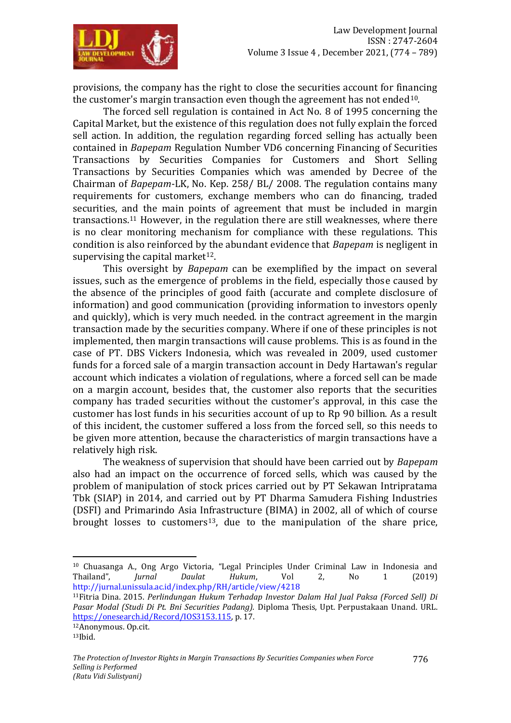

provisions, the company has the right to close the securities account for financing the customer's margin transaction even though the agreement has not ended  $10$ .

The forced sell regulation is contained in Act No. 8 of 1995 concerning the Capital Market, but the existence of this regulation does not fully explain the forced sell action. In addition, the regulation regarding forced selling has actually been contained in *Bapepam* Regulation Number VD6 concerning Financing of Securities Transactions by Securities Companies for Customers and Short Selling Transactions by Securities Companies which was amended by Decree of the Chairman of *Bapepam*-LK, No. Kep. 258/ BL/ 2008. The regulation contains many requirements for customers, exchange members who can do financing, traded securities, and the main points of agreement that must be included in margin transactions.<sup>11</sup> However, in the regulation there are still weaknesses, where there is no clear monitoring mechanism for compliance with these regulations. This condition is also reinforced by the abundant evidence that *Bapepam* is negligent in supervising the capital market $12$ .

This oversight by *Bapepam* can be exemplified by the impact on several issues, such as the emergence of problems in the field, especially those caused by the absence of the principles of good faith (accurate and complete disclosure of information) and good communication (providing information to investors openly and quickly), which is very much needed. in the contract agreement in the margin transaction made by the securities company. Where if one of these principles is not implemented, then margin transactions will cause problems. This is as found in the case of PT. DBS Vickers Indonesia, which was revealed in 2009, used customer funds for a forced sale of a margin transaction account in Dedy Hartawan's regular account which indicates a violation of regulations, where a forced sell can be made on a margin account, besides that, the customer also reports that the securities company has traded securities without the customer's approval, in this case the customer has lost funds in his securities account of up to Rp 90 billion. As a result of this incident, the customer suffered a loss from the forced sell, so this needs to be given more attention, because the characteristics of margin transactions have a relatively high risk.

The weakness of supervision that should have been carried out by *Bapepam* also had an impact on the occurrence of forced sells, which was caused by the problem of manipulation of stock prices carried out by PT Sekawan Intripratama Tbk (SIAP) in 2014, and carried out by PT Dharma Samudera Fishing Industries (DSFI) and Primarindo Asia Infrastructure (BIMA) in 2002, all of which of course brought losses to customers<sup>13</sup>, due to the manipulation of the share price,

 $\overline{a}$ 

<sup>10</sup> Chuasanga A., Ong Argo Victoria, "Legal Principles Under Criminal Law in Indonesia and Thailand", *Jurnal Daulat Hukum*, Vol 2, No 1 (2019) <http://jurnal.unissula.ac.id/index.php/RH/article/view/4218>

<sup>11</sup>Fitria Dina. 2015. *Perlindungan Hukum Terhadap Investor Dalam Hal Jual Paksa (Forced Sell) Di Pasar Modal (Studi Di Pt. Bni Securities Padang).* Diploma Thesis, Upt. Perpustakaan Unand. URL. [https://onesearch.id/Record/IOS3153.115,](https://onesearch.id/Record/IOS3153.115) p. 17.

<sup>12</sup>Anonymous. Op.cit.

 $13$ Ibid.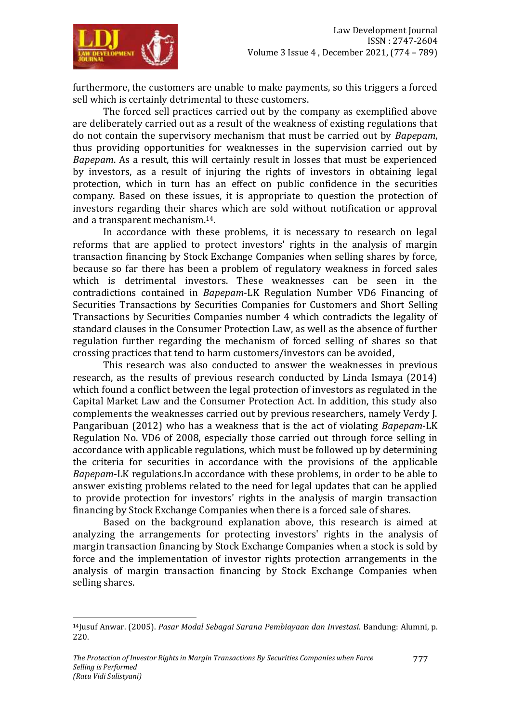

furthermore, the customers are unable to make payments, so this triggers a forced sell which is certainly detrimental to these customers.

The forced sell practices carried out by the company as exemplified above are deliberately carried out as a result of the weakness of existing regulations that do not contain the supervisory mechanism that must be carried out by *Bapepam*, thus providing opportunities for weaknesses in the supervision carried out by *Bapepam*. As a result, this will certainly result in losses that must be experienced by investors, as a result of injuring the rights of investors in obtaining legal protection, which in turn has an effect on public confidence in the securities company. Based on these issues, it is appropriate to question the protection of investors regarding their shares which are sold without notification or approval and a transparent mechanism.14.

In accordance with these problems, it is necessary to research on legal reforms that are applied to protect investors' rights in the analysis of margin transaction financing by Stock Exchange Companies when selling shares by force, because so far there has been a problem of regulatory weakness in forced sales which is detrimental investors. These weaknesses can be seen in the contradictions contained in *Bapepam*-LK Regulation Number VD6 Financing of Securities Transactions by Securities Companies for Customers and Short Selling Transactions by Securities Companies number 4 which contradicts the legality of standard clauses in the Consumer Protection Law, as well as the absence of further regulation further regarding the mechanism of forced selling of shares so that crossing practices that tend to harm customers/investors can be avoided,

This research was also conducted to answer the weaknesses in previous research, as the results of previous research conducted by Linda Ismaya (2014) which found a conflict between the legal protection of investors as regulated in the Capital Market Law and the Consumer Protection Act. In addition, this study also complements the weaknesses carried out by previous researchers, namely Verdy J. Pangaribuan (2012) who has a weakness that is the act of violating *Bapepam*-LK Regulation No. VD6 of 2008, especially those carried out through force selling in accordance with applicable regulations, which must be followed up by determining the criteria for securities in accordance with the provisions of the applicable *Bapepam*-LK regulations.In accordance with these problems, in order to be able to answer existing problems related to the need for legal updates that can be applied to provide protection for investors' rights in the analysis of margin transaction financing by Stock Exchange Companies when there is a forced sale of shares.

Based on the background explanation above, this research is aimed at analyzing the arrangements for protecting investors' rights in the analysis of margin transaction financing by Stock Exchange Companies when a stock is sold by force and the implementation of investor rights protection arrangements in the analysis of margin transaction financing by Stock Exchange Companies when selling shares.

<sup>14</sup>Jusuf Anwar. (2005). *Pasar Modal Sebagai Sarana Pembiayaan dan Investasi*. Bandung: Alumni, p. 220.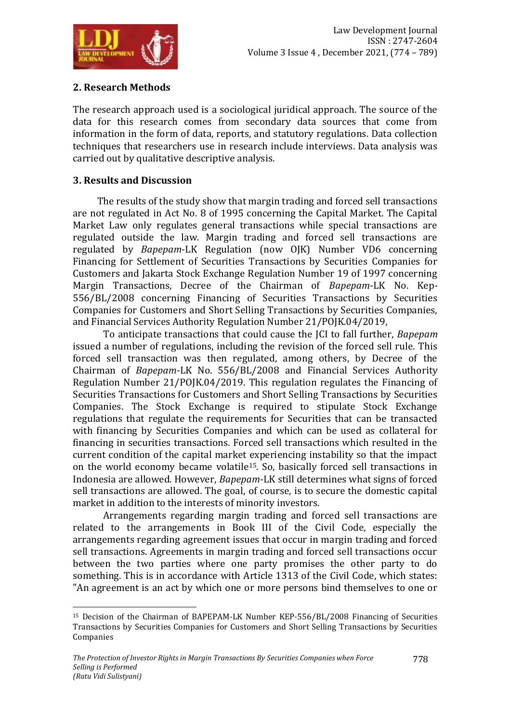

# **2. Research Methods**

The research approach used is a sociological juridical approach. The source of the data for this research comes from secondary data sources that come from information in the form of data, reports, and statutory regulations. Data collection techniques that researchers use in research include interviews. Data analysis was carried out by qualitative descriptive analysis.

# **3. Results and Discussion**

The results of the study show that margin trading and forced sell transactions are not regulated in Act No. 8 of 1995 concerning the Capital Market. The Capital Market Law only regulates general transactions while special transactions are regulated outside the law. Margin trading and forced sell transactions are regulated by *Bapepam*-LK Regulation (now OJK) Number VD6 concerning Financing for Settlement of Securities Transactions by Securities Companies for Customers and Jakarta Stock Exchange Regulation Number 19 of 1997 concerning Margin Transactions, Decree of the Chairman of *Bapepam*-LK No. Kep-556/BL/2008 concerning Financing of Securities Transactions by Securities Companies for Customers and Short Selling Transactions by Securities Companies, and Financial Services Authority Regulation Number 21/POJK.04/2019,

To anticipate transactions that could cause the JCI to fall further, *Bapepam* issued a number of regulations, including the revision of the forced sell rule. This forced sell transaction was then regulated, among others, by Decree of the Chairman of *Bapepam*-LK No. 556/BL/2008 and Financial Services Authority Regulation Number 21/POJK.04/2019. This regulation regulates the Financing of Securities Transactions for Customers and Short Selling Transactions by Securities Companies. The Stock Exchange is required to stipulate Stock Exchange regulations that regulate the requirements for Securities that can be transacted with financing by Securities Companies and which can be used as collateral for financing in securities transactions. Forced sell transactions which resulted in the current condition of the capital market experiencing instability so that the impact on the world economy became volatile15. So, basically forced sell transactions in Indonesia are allowed. However, *Bapepam*-LK still determines what signs of forced sell transactions are allowed. The goal, of course, is to secure the domestic capital market in addition to the interests of minority investors.

Arrangements regarding margin trading and forced sell transactions are related to the arrangements in Book III of the Civil Code, especially the arrangements regarding agreement issues that occur in margin trading and forced sell transactions. Agreements in margin trading and forced sell transactions occur between the two parties where one party promises the other party to do something. This is in accordance with Article 1313 of the Civil Code, which states: "An agreement is an act by which one or more persons bind themselves to one or

<sup>1</sup> <sup>15</sup> Decision of the Chairman of BAPEPAM-LK Number KEP-556/BL/2008 Financing of Securities Transactions by Securities Companies for Customers and Short Selling Transactions by Securities Companies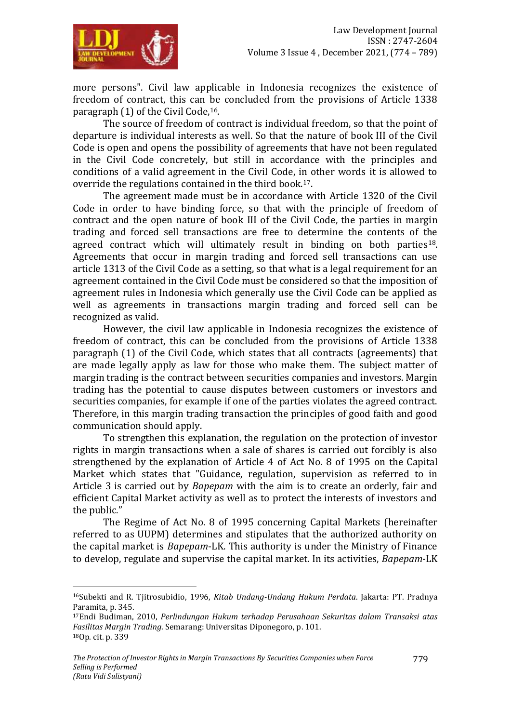

more persons". Civil law applicable in Indonesia recognizes the existence of freedom of contract, this can be concluded from the provisions of Article 1338 paragraph (1) of the Civil Code,16.

The source of freedom of contract is individual freedom, so that the point of departure is individual interests as well. So that the nature of book III of the Civil Code is open and opens the possibility of agreements that have not been regulated in the Civil Code concretely, but still in accordance with the principles and conditions of a valid agreement in the Civil Code, in other words it is allowed to override the regulations contained in the third book.17.

The agreement made must be in accordance with Article 1320 of the Civil Code in order to have binding force, so that with the principle of freedom of contract and the open nature of book III of the Civil Code, the parties in margin trading and forced sell transactions are free to determine the contents of the agreed contract which will ultimately result in binding on both parties<sup>18</sup>. Agreements that occur in margin trading and forced sell transactions can use article 1313 of the Civil Code as a setting, so that what is a legal requirement for an agreement contained in the Civil Code must be considered so that the imposition of agreement rules in Indonesia which generally use the Civil Code can be applied as well as agreements in transactions margin trading and forced sell can be recognized as valid.

However, the civil law applicable in Indonesia recognizes the existence of freedom of contract, this can be concluded from the provisions of Article 1338 paragraph (1) of the Civil Code, which states that all contracts (agreements) that are made legally apply as law for those who make them. The subject matter of margin trading is the contract between securities companies and investors. Margin trading has the potential to cause disputes between customers or investors and securities companies, for example if one of the parties violates the agreed contract. Therefore, in this margin trading transaction the principles of good faith and good communication should apply.

To strengthen this explanation, the regulation on the protection of investor rights in margin transactions when a sale of shares is carried out forcibly is also strengthened by the explanation of Article 4 of Act No. 8 of 1995 on the Capital Market which states that "Guidance, regulation, supervision as referred to in Article 3 is carried out by *Bapepam* with the aim is to create an orderly, fair and efficient Capital Market activity as well as to protect the interests of investors and the public."

The Regime of Act No. 8 of 1995 concerning Capital Markets (hereinafter referred to as UUPM) determines and stipulates that the authorized authority on the capital market is *Bapepam*-LK. This authority is under the Ministry of Finance to develop, regulate and supervise the capital market. In its activities, *Bapepam*-LK

 $\overline{a}$ <sup>16</sup>Subekti and R. Tjitrosubidio, 1996, *Kitab Undang-Undang Hukum Perdata*. Jakarta: PT. Pradnya Paramita, p. 345.

<sup>17</sup>Endi Budiman, 2010, *Perlindungan Hukum terhadap Perusahaan Sekuritas dalam Transaksi atas Fasilitas Margin Trading*. Semarang: Universitas Diponegoro, p. 101. 18Op. cit. p. 339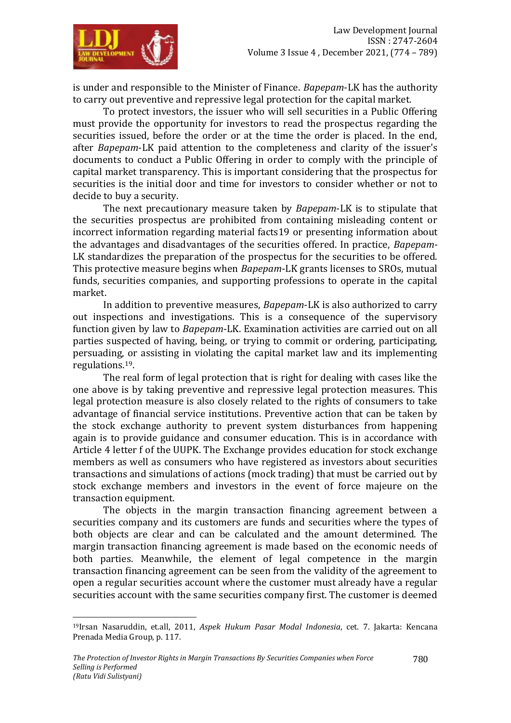

is under and responsible to the Minister of Finance. *Bapepam*-LK has the authority to carry out preventive and repressive legal protection for the capital market.

To protect investors, the issuer who will sell securities in a Public Offering must provide the opportunity for investors to read the prospectus regarding the securities issued, before the order or at the time the order is placed. In the end, after *Bapepam*-LK paid attention to the completeness and clarity of the issuer's documents to conduct a Public Offering in order to comply with the principle of capital market transparency. This is important considering that the prospectus for securities is the initial door and time for investors to consider whether or not to decide to buy a security.

The next precautionary measure taken by *Bapepam*-LK is to stipulate that the securities prospectus are prohibited from containing misleading content or incorrect information regarding material facts19 or presenting information about the advantages and disadvantages of the securities offered. In practice, *Bapepam*-LK standardizes the preparation of the prospectus for the securities to be offered. This protective measure begins when *Bapepam*-LK grants licenses to SROs, mutual funds, securities companies, and supporting professions to operate in the capital market.

In addition to preventive measures, *Bapepam*-LK is also authorized to carry out inspections and investigations. This is a consequence of the supervisory function given by law to *Bapepam*-LK. Examination activities are carried out on all parties suspected of having, being, or trying to commit or ordering, participating, persuading, or assisting in violating the capital market law and its implementing regulations.19.

The real form of legal protection that is right for dealing with cases like the one above is by taking preventive and repressive legal protection measures. This legal protection measure is also closely related to the rights of consumers to take advantage of financial service institutions. Preventive action that can be taken by the stock exchange authority to prevent system disturbances from happening again is to provide guidance and consumer education. This is in accordance with Article 4 letter f of the UUPK. The Exchange provides education for stock exchange members as well as consumers who have registered as investors about securities transactions and simulations of actions (mock trading) that must be carried out by stock exchange members and investors in the event of force majeure on the transaction equipment.

The objects in the margin transaction financing agreement between a securities company and its customers are funds and securities where the types of both objects are clear and can be calculated and the amount determined. The margin transaction financing agreement is made based on the economic needs of both parties. Meanwhile, the element of legal competence in the margin transaction financing agreement can be seen from the validity of the agreement to open a regular securities account where the customer must already have a regular securities account with the same securities company first. The customer is deemed

<sup>19</sup>Irsan Nasaruddin, et.all, 2011, *Aspek Hukum Pasar Modal Indonesia*, cet. 7. Jakarta: Kencana Prenada Media Group, p. 117.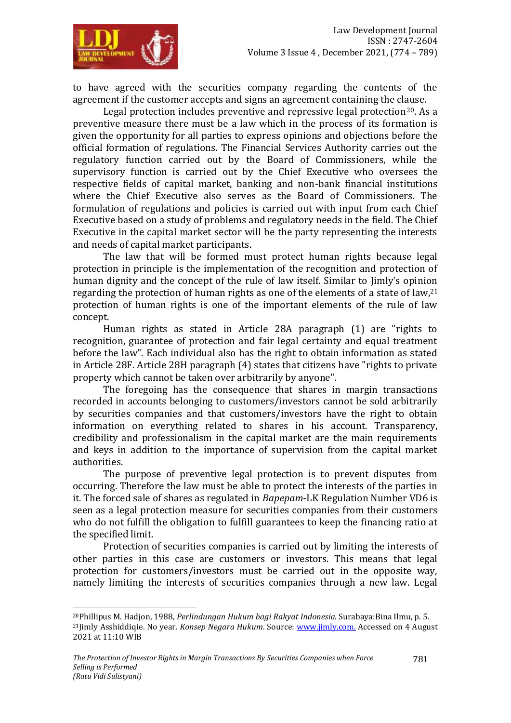

1

to have agreed with the securities company regarding the contents of the agreement if the customer accepts and signs an agreement containing the clause.

Legal protection includes preventive and repressive legal protection<sup>20</sup>. As a preventive measure there must be a law which in the process of its formation is given the opportunity for all parties to express opinions and objections before the official formation of regulations. The Financial Services Authority carries out the regulatory function carried out by the Board of Commissioners, while the supervisory function is carried out by the Chief Executive who oversees the respective fields of capital market, banking and non-bank financial institutions where the Chief Executive also serves as the Board of Commissioners. The formulation of regulations and policies is carried out with input from each Chief Executive based on a study of problems and regulatory needs in the field. The Chief Executive in the capital market sector will be the party representing the interests and needs of capital market participants.

The law that will be formed must protect human rights because legal protection in principle is the implementation of the recognition and protection of human dignity and the concept of the rule of law itself. Similar to Jimly's opinion regarding the protection of human rights as one of the elements of a state of law, $21$ protection of human rights is one of the important elements of the rule of law concept.

Human rights as stated in Article 28A paragraph (1) are "rights to recognition, guarantee of protection and fair legal certainty and equal treatment before the law". Each individual also has the right to obtain information as stated in Article 28F. Article 28H paragraph (4) states that citizens have "rights to private property which cannot be taken over arbitrarily by anyone".

The foregoing has the consequence that shares in margin transactions recorded in accounts belonging to customers/investors cannot be sold arbitrarily by securities companies and that customers/investors have the right to obtain information on everything related to shares in his account. Transparency, credibility and professionalism in the capital market are the main requirements and keys in addition to the importance of supervision from the capital market authorities.

The purpose of preventive legal protection is to prevent disputes from occurring. Therefore the law must be able to protect the interests of the parties in it. The forced sale of shares as regulated in *Bapepam*-LK Regulation Number VD6 is seen as a legal protection measure for securities companies from their customers who do not fulfill the obligation to fulfill guarantees to keep the financing ratio at the specified limit.

Protection of securities companies is carried out by limiting the interests of other parties in this case are customers or investors. This means that legal protection for customers/investors must be carried out in the opposite way, namely limiting the interests of securities companies through a new law. Legal

<sup>20</sup>Phillipus M. Hadjon, 1988, *Perlindungan Hukum bagi Rakyat Indonesia.* Surabaya:Bina Ilmu, p. 5. <sup>21</sup>Jimly Asshiddiqie. No year. *Konsep Negara Hukum*. Source[: www.jimly.com.](http://www.jimly.com/) Accessed on 4 August 2021 at 11:10 WIB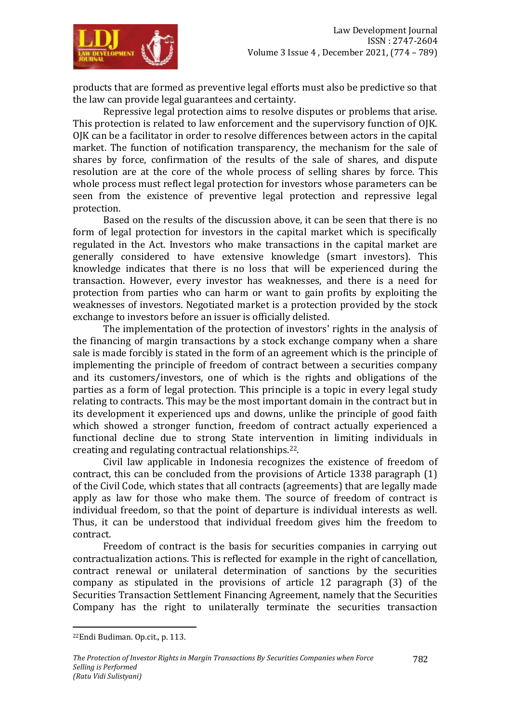

products that are formed as preventive legal efforts must also be predictive so that the law can provide legal guarantees and certainty.

Repressive legal protection aims to resolve disputes or problems that arise. This protection is related to law enforcement and the supervisory function of OJK. OJK can be a facilitator in order to resolve differences between actors in the capital market. The function of notification transparency, the mechanism for the sale of shares by force, confirmation of the results of the sale of shares, and dispute resolution are at the core of the whole process of selling shares by force. This whole process must reflect legal protection for investors whose parameters can be seen from the existence of preventive legal protection and repressive legal protection.

Based on the results of the discussion above, it can be seen that there is no form of legal protection for investors in the capital market which is specifically regulated in the Act. Investors who make transactions in the capital market are generally considered to have extensive knowledge (smart investors). This knowledge indicates that there is no loss that will be experienced during the transaction. However, every investor has weaknesses, and there is a need for protection from parties who can harm or want to gain profits by exploiting the weaknesses of investors. Negotiated market is a protection provided by the stock exchange to investors before an issuer is officially delisted.

The implementation of the protection of investors' rights in the analysis of the financing of margin transactions by a stock exchange company when a share sale is made forcibly is stated in the form of an agreement which is the principle of implementing the principle of freedom of contract between a securities company and its customers/investors, one of which is the rights and obligations of the parties as a form of legal protection. This principle is a topic in every legal study relating to contracts. This may be the most important domain in the contract but in its development it experienced ups and downs, unlike the principle of good faith which showed a stronger function, freedom of contract actually experienced a functional decline due to strong State intervention in limiting individuals in creating and regulating contractual relationships.22.

Civil law applicable in Indonesia recognizes the existence of freedom of contract, this can be concluded from the provisions of Article 1338 paragraph (1) of the Civil Code, which states that all contracts (agreements) that are legally made apply as law for those who make them. The source of freedom of contract is individual freedom, so that the point of departure is individual interests as well. Thus, it can be understood that individual freedom gives him the freedom to contract.

Freedom of contract is the basis for securities companies in carrying out contractualization actions. This is reflected for example in the right of cancellation, contract renewal or unilateral determination of sanctions by the securities company as stipulated in the provisions of article 12 paragraph (3) of the Securities Transaction Settlement Financing Agreement, namely that the Securities Company has the right to unilaterally terminate the securities transaction

 $\overline{a}$ 

<sup>22</sup>Endi Budiman. Op.cit., p. 113.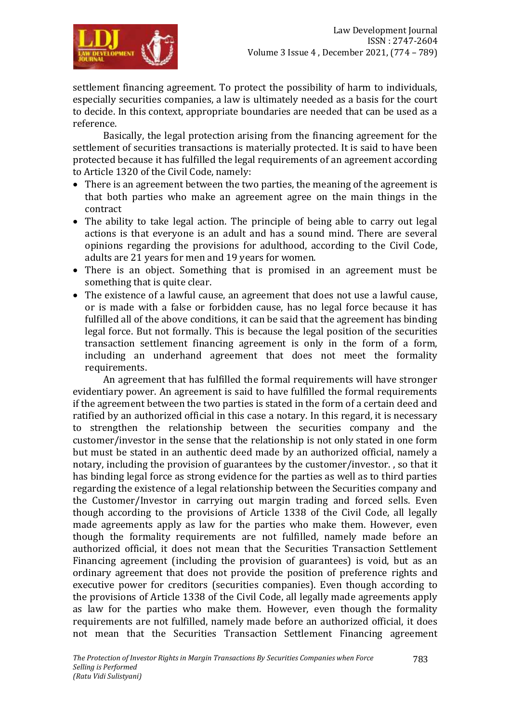settlement financing agreement. To protect the possibility of harm to individuals, especially securities companies, a law is ultimately needed as a basis for the court to decide. In this context, appropriate boundaries are needed that can be used as a reference.

Basically, the legal protection arising from the financing agreement for the settlement of securities transactions is materially protected. It is said to have been protected because it has fulfilled the legal requirements of an agreement according to Article 1320 of the Civil Code, namely:

- There is an agreement between the two parties, the meaning of the agreement is that both parties who make an agreement agree on the main things in the contract
- The ability to take legal action. The principle of being able to carry out legal actions is that everyone is an adult and has a sound mind. There are several opinions regarding the provisions for adulthood, according to the Civil Code, adults are 21 years for men and 19 years for women.
- There is an object. Something that is promised in an agreement must be something that is quite clear.
- The existence of a lawful cause, an agreement that does not use a lawful cause, or is made with a false or forbidden cause, has no legal force because it has fulfilled all of the above conditions, it can be said that the agreement has binding legal force. But not formally. This is because the legal position of the securities transaction settlement financing agreement is only in the form of a form, including an underhand agreement that does not meet the formality requirements.

An agreement that has fulfilled the formal requirements will have stronger evidentiary power. An agreement is said to have fulfilled the formal requirements if the agreement between the two parties is stated in the form of a certain deed and ratified by an authorized official in this case a notary. In this regard, it is necessary to strengthen the relationship between the securities company and the customer/investor in the sense that the relationship is not only stated in one form but must be stated in an authentic deed made by an authorized official, namely a notary, including the provision of guarantees by the customer/investor. , so that it has binding legal force as strong evidence for the parties as well as to third parties regarding the existence of a legal relationship between the Securities company and the Customer/Investor in carrying out margin trading and forced sells. Even though according to the provisions of Article 1338 of the Civil Code, all legally made agreements apply as law for the parties who make them. However, even though the formality requirements are not fulfilled, namely made before an authorized official, it does not mean that the Securities Transaction Settlement Financing agreement (including the provision of guarantees) is void, but as an ordinary agreement that does not provide the position of preference rights and executive power for creditors (securities companies). Even though according to the provisions of Article 1338 of the Civil Code, all legally made agreements apply as law for the parties who make them. However, even though the formality requirements are not fulfilled, namely made before an authorized official, it does not mean that the Securities Transaction Settlement Financing agreement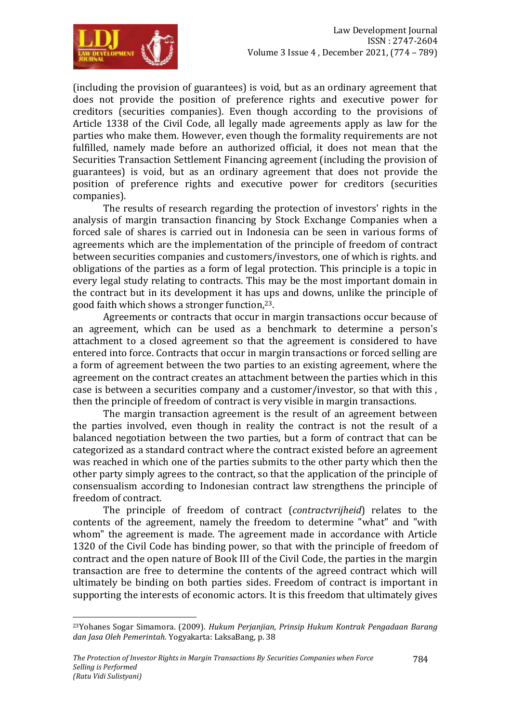

(including the provision of guarantees) is void, but as an ordinary agreement that does not provide the position of preference rights and executive power for creditors (securities companies). Even though according to the provisions of Article 1338 of the Civil Code, all legally made agreements apply as law for the parties who make them. However, even though the formality requirements are not fulfilled, namely made before an authorized official, it does not mean that the Securities Transaction Settlement Financing agreement (including the provision of guarantees) is void, but as an ordinary agreement that does not provide the position of preference rights and executive power for creditors (securities companies).

The results of research regarding the protection of investors' rights in the analysis of margin transaction financing by Stock Exchange Companies when a forced sale of shares is carried out in Indonesia can be seen in various forms of agreements which are the implementation of the principle of freedom of contract between securities companies and customers/investors, one of which is rights. and obligations of the parties as a form of legal protection. This principle is a topic in every legal study relating to contracts. This may be the most important domain in the contract but in its development it has ups and downs, unlike the principle of good faith which shows a stronger function,23.

Agreements or contracts that occur in margin transactions occur because of an agreement, which can be used as a benchmark to determine a person's attachment to a closed agreement so that the agreement is considered to have entered into force. Contracts that occur in margin transactions or forced selling are a form of agreement between the two parties to an existing agreement, where the agreement on the contract creates an attachment between the parties which in this case is between a securities company and a customer/investor, so that with this , then the principle of freedom of contract is very visible in margin transactions.

The margin transaction agreement is the result of an agreement between the parties involved, even though in reality the contract is not the result of a balanced negotiation between the two parties, but a form of contract that can be categorized as a standard contract where the contract existed before an agreement was reached in which one of the parties submits to the other party which then the other party simply agrees to the contract, so that the application of the principle of consensualism according to Indonesian contract law strengthens the principle of freedom of contract.

The principle of freedom of contract (*contractvrijheid*) relates to the contents of the agreement, namely the freedom to determine "what" and "with whom" the agreement is made. The agreement made in accordance with Article 1320 of the Civil Code has binding power, so that with the principle of freedom of contract and the open nature of Book III of the Civil Code, the parties in the margin transaction are free to determine the contents of the agreed contract which will ultimately be binding on both parties sides. Freedom of contract is important in supporting the interests of economic actors. It is this freedom that ultimately gives

<sup>23</sup>Yohanes Sogar Simamora. (2009). *Hukum Perjanjian, Prinsip Hukum Kontrak Pengadaan Barang dan Jasa Oleh Pemerintah.* Yogyakarta: LaksaBang, p. 38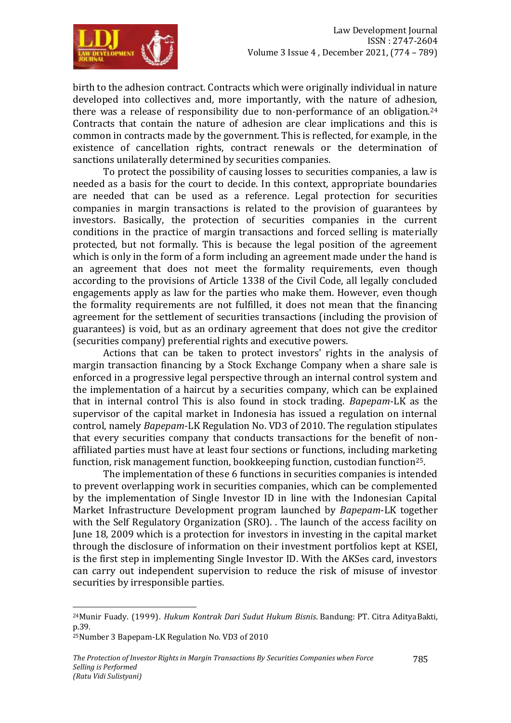

birth to the adhesion contract. Contracts which were originally individual in nature developed into collectives and, more importantly, with the nature of adhesion, there was a release of responsibility due to non-performance of an obligation.<sup>24</sup> Contracts that contain the nature of adhesion are clear implications and this is common in contracts made by the government. This is reflected, for example, in the existence of cancellation rights, contract renewals or the determination of sanctions unilaterally determined by securities companies.

To protect the possibility of causing losses to securities companies, a law is needed as a basis for the court to decide. In this context, appropriate boundaries are needed that can be used as a reference. Legal protection for securities companies in margin transactions is related to the provision of guarantees by investors. Basically, the protection of securities companies in the current conditions in the practice of margin transactions and forced selling is materially protected, but not formally. This is because the legal position of the agreement which is only in the form of a form including an agreement made under the hand is an agreement that does not meet the formality requirements, even though according to the provisions of Article 1338 of the Civil Code, all legally concluded engagements apply as law for the parties who make them. However, even though the formality requirements are not fulfilled, it does not mean that the financing agreement for the settlement of securities transactions (including the provision of guarantees) is void, but as an ordinary agreement that does not give the creditor (securities company) preferential rights and executive powers.

Actions that can be taken to protect investors' rights in the analysis of margin transaction financing by a Stock Exchange Company when a share sale is enforced in a progressive legal perspective through an internal control system and the implementation of a haircut by a securities company, which can be explained that in internal control This is also found in stock trading. *Bapepam*-LK as the supervisor of the capital market in Indonesia has issued a regulation on internal control, namely *Bapepam*-LK Regulation No. VD3 of 2010. The regulation stipulates that every securities company that conducts transactions for the benefit of nonaffiliated parties must have at least four sections or functions, including marketing function, risk management function, bookkeeping function, custodian function<sup>25</sup>.

The implementation of these 6 functions in securities companies is intended to prevent overlapping work in securities companies, which can be complemented by the implementation of Single Investor ID in line with the Indonesian Capital Market Infrastructure Development program launched by *Bapepam*-LK together with the Self Regulatory Organization (SRO). . The launch of the access facility on June 18, 2009 which is a protection for investors in investing in the capital market through the disclosure of information on their investment portfolios kept at KSEI, is the first step in implementing Single Investor ID. With the AKSes card, investors can carry out independent supervision to reduce the risk of misuse of investor securities by irresponsible parties.

1

<sup>24</sup>Munir Fuady. (1999). *Hukum Kontrak Dari Sudut Hukum Bisnis*. Bandung: PT. Citra AdityaBakti, p.39.

<sup>25</sup>Number 3 Bapepam-LK Regulation No. VD3 of 2010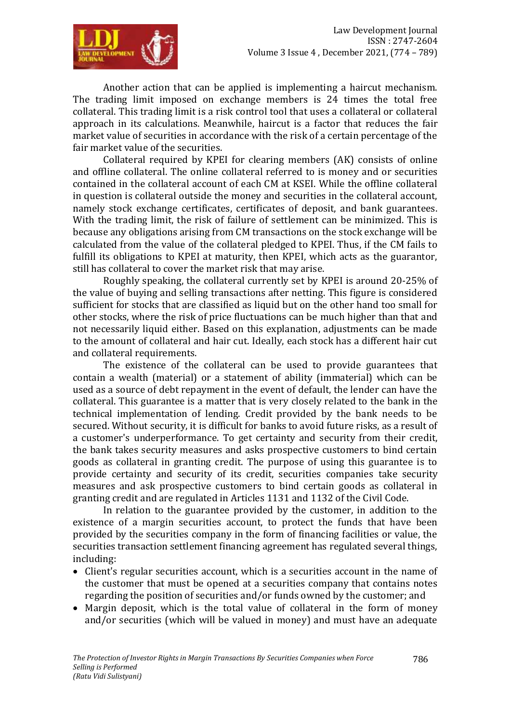

Another action that can be applied is implementing a haircut mechanism. The trading limit imposed on exchange members is 24 times the total free collateral. This trading limit is a risk control tool that uses a collateral or collateral approach in its calculations. Meanwhile, haircut is a factor that reduces the fair market value of securities in accordance with the risk of a certain percentage of the fair market value of the securities.

Collateral required by KPEI for clearing members (AK) consists of online and offline collateral. The online collateral referred to is money and or securities contained in the collateral account of each CM at KSEI. While the offline collateral in question is collateral outside the money and securities in the collateral account, namely stock exchange certificates, certificates of deposit, and bank guarantees. With the trading limit, the risk of failure of settlement can be minimized. This is because any obligations arising from CM transactions on the stock exchange will be calculated from the value of the collateral pledged to KPEI. Thus, if the CM fails to fulfill its obligations to KPEI at maturity, then KPEI, which acts as the guarantor, still has collateral to cover the market risk that may arise.

Roughly speaking, the collateral currently set by KPEI is around 20-25% of the value of buying and selling transactions after netting. This figure is considered sufficient for stocks that are classified as liquid but on the other hand too small for other stocks, where the risk of price fluctuations can be much higher than that and not necessarily liquid either. Based on this explanation, adjustments can be made to the amount of collateral and hair cut. Ideally, each stock has a different hair cut and collateral requirements.

The existence of the collateral can be used to provide guarantees that contain a wealth (material) or a statement of ability (immaterial) which can be used as a source of debt repayment in the event of default, the lender can have the collateral. This guarantee is a matter that is very closely related to the bank in the technical implementation of lending. Credit provided by the bank needs to be secured. Without security, it is difficult for banks to avoid future risks, as a result of a customer's underperformance. To get certainty and security from their credit, the bank takes security measures and asks prospective customers to bind certain goods as collateral in granting credit. The purpose of using this guarantee is to provide certainty and security of its credit, securities companies take security measures and ask prospective customers to bind certain goods as collateral in granting credit and are regulated in Articles 1131 and 1132 of the Civil Code.

In relation to the guarantee provided by the customer, in addition to the existence of a margin securities account, to protect the funds that have been provided by the securities company in the form of financing facilities or value, the securities transaction settlement financing agreement has regulated several things, including:

- Client's regular securities account, which is a securities account in the name of the customer that must be opened at a securities company that contains notes regarding the position of securities and/or funds owned by the customer; and
- Margin deposit, which is the total value of collateral in the form of money and/or securities (which will be valued in money) and must have an adequate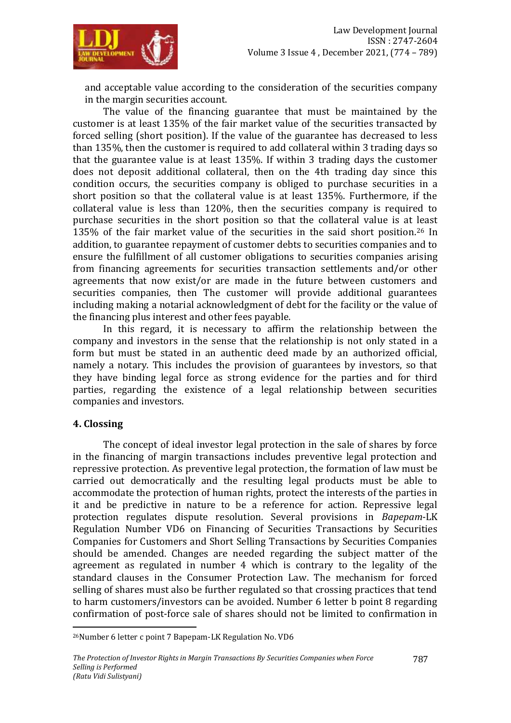

and acceptable value according to the consideration of the securities company in the margin securities account.

The value of the financing guarantee that must be maintained by the customer is at least 135% of the fair market value of the securities transacted by forced selling (short position). If the value of the guarantee has decreased to less than 135%, then the customer is required to add collateral within 3 trading days so that the guarantee value is at least 135%. If within 3 trading days the customer does not deposit additional collateral, then on the 4th trading day since this condition occurs, the securities company is obliged to purchase securities in a short position so that the collateral value is at least 135%. Furthermore, if the collateral value is less than 120%, then the securities company is required to purchase securities in the short position so that the collateral value is at least 135% of the fair market value of the securities in the said short position.<sup>26</sup> In addition, to guarantee repayment of customer debts to securities companies and to ensure the fulfillment of all customer obligations to securities companies arising from financing agreements for securities transaction settlements and/or other agreements that now exist/or are made in the future between customers and securities companies, then The customer will provide additional guarantees including making a notarial acknowledgment of debt for the facility or the value of the financing plus interest and other fees payable.

In this regard, it is necessary to affirm the relationship between the company and investors in the sense that the relationship is not only stated in a form but must be stated in an authentic deed made by an authorized official, namely a notary. This includes the provision of guarantees by investors, so that they have binding legal force as strong evidence for the parties and for third parties, regarding the existence of a legal relationship between securities companies and investors.

#### **4. Clossing**

 $\overline{a}$ 

The concept of ideal investor legal protection in the sale of shares by force in the financing of margin transactions includes preventive legal protection and repressive protection. As preventive legal protection, the formation of law must be carried out democratically and the resulting legal products must be able to accommodate the protection of human rights, protect the interests of the parties in it and be predictive in nature to be a reference for action. Repressive legal protection regulates dispute resolution. Several provisions in *Bapepam*-LK Regulation Number VD6 on Financing of Securities Transactions by Securities Companies for Customers and Short Selling Transactions by Securities Companies should be amended. Changes are needed regarding the subject matter of the agreement as regulated in number 4 which is contrary to the legality of the standard clauses in the Consumer Protection Law. The mechanism for forced selling of shares must also be further regulated so that crossing practices that tend to harm customers/investors can be avoided. Number 6 letter b point 8 regarding confirmation of post-force sale of shares should not be limited to confirmation in

<sup>26</sup>Number 6 letter c point 7 Bapepam-LK Regulation No. VD6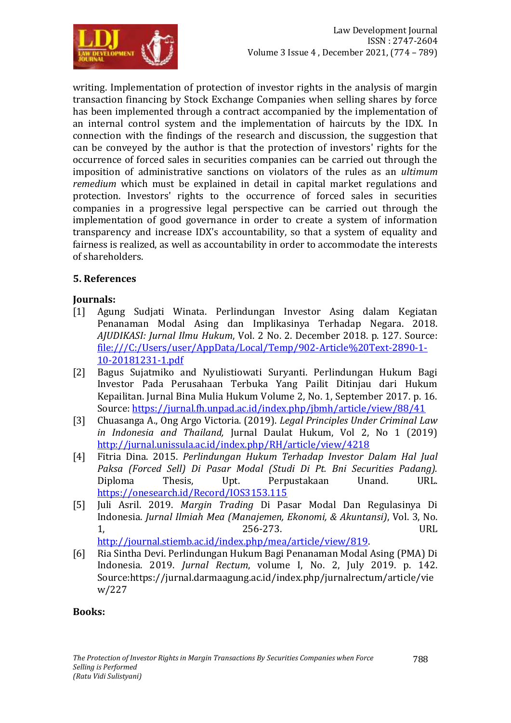

writing. Implementation of protection of investor rights in the analysis of margin transaction financing by Stock Exchange Companies when selling shares by force has been implemented through a contract accompanied by the implementation of an internal control system and the implementation of haircuts by the IDX. In connection with the findings of the research and discussion, the suggestion that can be conveyed by the author is that the protection of investors' rights for the occurrence of forced sales in securities companies can be carried out through the imposition of administrative sanctions on violators of the rules as an *ultimum remedium* which must be explained in detail in capital market regulations and protection. Investors' rights to the occurrence of forced sales in securities companies in a progressive legal perspective can be carried out through the implementation of good governance in order to create a system of information transparency and increase IDX's accountability, so that a system of equality and fairness is realized, as well as accountability in order to accommodate the interests of shareholders.

## **5. References**

## **Journals:**

- [1] Agung Sudjati Winata. Perlindungan Investor Asing dalam Kegiatan Penanaman Modal Asing dan Implikasinya Terhadap Negara. 2018. *AJUDIKASI: Jurnal Ilmu Hukum*, Vol. 2 No. 2. December 2018. p. 127. Source: [file:///C:/Users/user/AppData/Local/Temp/902-Article%20Text-2890-1-](file:///C:/Users/user/AppData/Local/Temp/902-Article%20Text-2890-1-10-20181231-1.pdf) [10-20181231-1.pdf](file:///C:/Users/user/AppData/Local/Temp/902-Article%20Text-2890-1-10-20181231-1.pdf)
- [2] Bagus Sujatmiko and Nyulistiowati Suryanti. Perlindungan Hukum Bagi Investor Pada Perusahaan Terbuka Yang Pailit Ditinjau dari Hukum Kepailitan. Jurnal Bina Mulia Hukum Volume 2, No. 1, September 2017. p. 16. Source:<https://jurnal.fh.unpad.ac.id/index.php/jbmh/article/view/88/41>
- [3] Chuasanga A., Ong Argo Victoria. (2019). *Legal Principles Under Criminal Law in Indonesia and Thailand,* Jurnal Daulat Hukum, Vol 2, No 1 (2019) <http://jurnal.unissula.ac.id/index.php/RH/article/view/4218>
- [4] Fitria Dina. 2015. *Perlindungan Hukum Terhadap Investor Dalam Hal Jual Paksa (Forced Sell) Di Pasar Modal (Studi Di Pt. Bni Securities Padang).* Diploma Thesis, Upt. Perpustakaan Unand. URL. <https://onesearch.id/Record/IOS3153.115>
- [5] Juli Asril. 2019. *Margin Trading* Di Pasar Modal Dan Regulasinya Di Indonesia. *Jurnal Ilmiah Mea (Manajemen, Ekonomi, & Akuntansi)*, Vol. 3, No. 1, 256-273. URL

[http://journal.stiemb.ac.id/index.php/mea/article/view/819.](http://journal.stiemb.ac.id/index.php/mea/article/view/819)

[6] Ria Sintha Devi. Perlindungan Hukum Bagi Penanaman Modal Asing (PMA) Di Indonesia. 2019. *Jurnal Rectum*, volume I, No. 2, July 2019. p. 142. Source:https://jurnal.darmaagung.ac.id/index.php/jurnalrectum/article/vie w/227

#### **Books:**